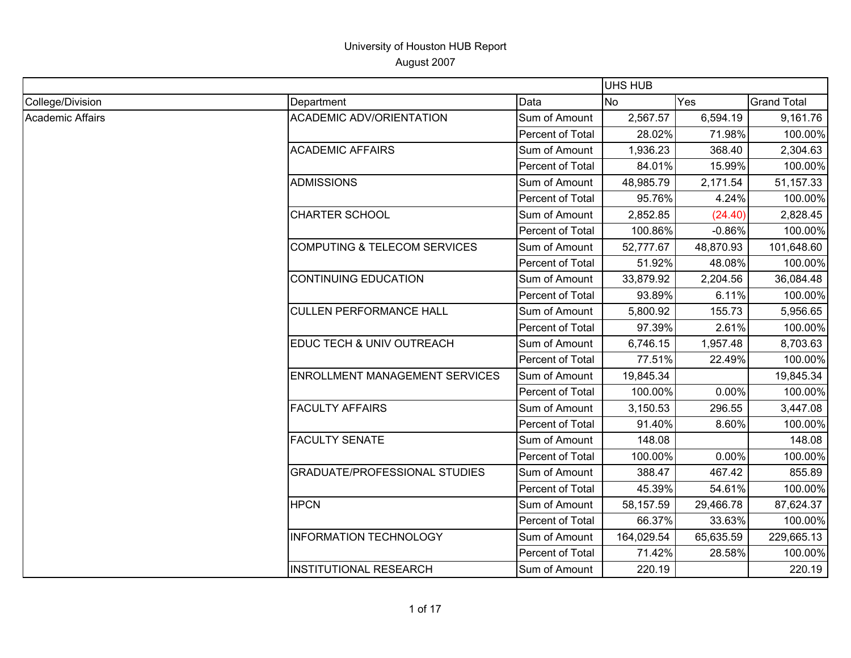|                  |                                         |                  | <b>UHS HUB</b> |           |                    |
|------------------|-----------------------------------------|------------------|----------------|-----------|--------------------|
| College/Division | Department                              | Data             | No             | Yes       | <b>Grand Total</b> |
| Academic Affairs | <b>ACADEMIC ADV/ORIENTATION</b>         | Sum of Amount    | 2,567.57       | 6,594.19  | 9,161.76           |
|                  |                                         | Percent of Total | 28.02%         | 71.98%    | 100.00%            |
|                  | <b>ACADEMIC AFFAIRS</b>                 | Sum of Amount    | 1,936.23       | 368.40    | 2,304.63           |
|                  |                                         | Percent of Total | 84.01%         | 15.99%    | 100.00%            |
|                  | <b>ADMISSIONS</b>                       | Sum of Amount    | 48,985.79      | 2,171.54  | 51,157.33          |
|                  |                                         | Percent of Total | 95.76%         | 4.24%     | 100.00%            |
|                  | <b>CHARTER SCHOOL</b>                   | Sum of Amount    | 2,852.85       | (24.40)   | 2,828.45           |
|                  |                                         | Percent of Total | 100.86%        | $-0.86%$  | 100.00%            |
|                  | <b>COMPUTING &amp; TELECOM SERVICES</b> | Sum of Amount    | 52,777.67      | 48,870.93 | 101,648.60         |
|                  |                                         | Percent of Total | 51.92%         | 48.08%    | 100.00%            |
|                  | <b>CONTINUING EDUCATION</b>             | Sum of Amount    | 33,879.92      | 2,204.56  | 36,084.48          |
|                  |                                         | Percent of Total | 93.89%         | 6.11%     | 100.00%            |
|                  | <b>CULLEN PERFORMANCE HALL</b>          | Sum of Amount    | 5,800.92       | 155.73    | 5,956.65           |
|                  |                                         | Percent of Total | 97.39%         | 2.61%     | 100.00%            |
|                  | EDUC TECH & UNIV OUTREACH               | Sum of Amount    | 6,746.15       | 1,957.48  | 8,703.63           |
|                  |                                         | Percent of Total | 77.51%         | 22.49%    | 100.00%            |
|                  | <b>ENROLLMENT MANAGEMENT SERVICES</b>   | Sum of Amount    | 19,845.34      |           | 19,845.34          |
|                  |                                         | Percent of Total | 100.00%        | 0.00%     | 100.00%            |
|                  | <b>FACULTY AFFAIRS</b>                  | Sum of Amount    | 3,150.53       | 296.55    | 3,447.08           |
|                  |                                         | Percent of Total | 91.40%         | 8.60%     | 100.00%            |
|                  | <b>FACULTY SENATE</b>                   | Sum of Amount    | 148.08         |           | 148.08             |
|                  |                                         | Percent of Total | 100.00%        | 0.00%     | 100.00%            |
|                  | <b>GRADUATE/PROFESSIONAL STUDIES</b>    | Sum of Amount    | 388.47         | 467.42    | 855.89             |
|                  |                                         | Percent of Total | 45.39%         | 54.61%    | 100.00%            |
|                  | <b>HPCN</b>                             | Sum of Amount    | 58,157.59      | 29,466.78 | 87,624.37          |
|                  |                                         | Percent of Total | 66.37%         | 33.63%    | 100.00%            |
|                  | <b>INFORMATION TECHNOLOGY</b>           | Sum of Amount    | 164,029.54     | 65,635.59 | 229,665.13         |
|                  |                                         | Percent of Total | 71.42%         | 28.58%    | 100.00%            |
|                  | <b>INSTITUTIONAL RESEARCH</b>           | Sum of Amount    | 220.19         |           | 220.19             |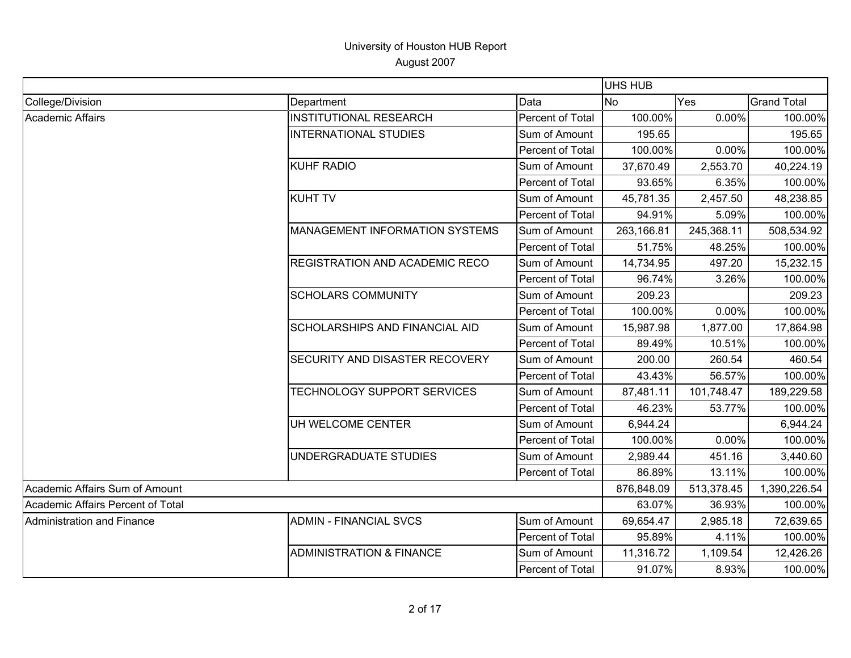|                                   |                                       |                  | <b>UHS HUB</b> |            |                    |
|-----------------------------------|---------------------------------------|------------------|----------------|------------|--------------------|
| College/Division                  | Department                            | Data             | <b>No</b>      | Yes        | <b>Grand Total</b> |
| Academic Affairs                  | <b>INSTITUTIONAL RESEARCH</b>         | Percent of Total | 100.00%        | 0.00%      | 100.00%            |
|                                   | <b>INTERNATIONAL STUDIES</b>          | Sum of Amount    | 195.65         |            | 195.65             |
|                                   |                                       | Percent of Total | 100.00%        | 0.00%      | 100.00%            |
|                                   | <b>KUHF RADIO</b>                     | Sum of Amount    | 37,670.49      | 2,553.70   | 40,224.19          |
|                                   |                                       | Percent of Total | 93.65%         | 6.35%      | 100.00%            |
|                                   | <b>KUHT TV</b>                        | Sum of Amount    | 45,781.35      | 2,457.50   | 48,238.85          |
|                                   |                                       | Percent of Total | 94.91%         | 5.09%      | 100.00%            |
|                                   | MANAGEMENT INFORMATION SYSTEMS        | Sum of Amount    | 263,166.81     | 245,368.11 | 508,534.92         |
|                                   |                                       | Percent of Total | 51.75%         | 48.25%     | 100.00%            |
|                                   | <b>REGISTRATION AND ACADEMIC RECO</b> | Sum of Amount    | 14,734.95      | 497.20     | 15,232.15          |
|                                   |                                       | Percent of Total | 96.74%         | 3.26%      | 100.00%            |
|                                   | <b>SCHOLARS COMMUNITY</b>             | Sum of Amount    | 209.23         |            | 209.23             |
|                                   |                                       | Percent of Total | 100.00%        | 0.00%      | 100.00%            |
|                                   | <b>SCHOLARSHIPS AND FINANCIAL AID</b> | Sum of Amount    | 15,987.98      | 1,877.00   | 17,864.98          |
|                                   |                                       | Percent of Total | 89.49%         | 10.51%     | 100.00%            |
|                                   | <b>SECURITY AND DISASTER RECOVERY</b> | Sum of Amount    | 200.00         | 260.54     | 460.54             |
|                                   |                                       | Percent of Total | 43.43%         | 56.57%     | 100.00%            |
|                                   | TECHNOLOGY SUPPORT SERVICES           | Sum of Amount    | 87,481.11      | 101,748.47 | 189,229.58         |
|                                   |                                       | Percent of Total | 46.23%         | 53.77%     | 100.00%            |
|                                   | UH WELCOME CENTER                     | Sum of Amount    | 6,944.24       |            | 6,944.24           |
|                                   |                                       | Percent of Total | 100.00%        | 0.00%      | 100.00%            |
|                                   | UNDERGRADUATE STUDIES                 | Sum of Amount    | 2,989.44       | 451.16     | 3,440.60           |
|                                   |                                       | Percent of Total | 86.89%         | 13.11%     | 100.00%            |
| Academic Affairs Sum of Amount    |                                       |                  | 876,848.09     | 513,378.45 | 1,390,226.54       |
| Academic Affairs Percent of Total |                                       |                  | 63.07%         | 36.93%     | 100.00%            |
| Administration and Finance        | <b>ADMIN - FINANCIAL SVCS</b>         | Sum of Amount    | 69,654.47      | 2,985.18   | 72,639.65          |
|                                   |                                       | Percent of Total | 95.89%         | 4.11%      | 100.00%            |
|                                   | <b>ADMINISTRATION &amp; FINANCE</b>   | Sum of Amount    | 11,316.72      | 1,109.54   | 12,426.26          |
|                                   |                                       | Percent of Total | 91.07%         | 8.93%      | 100.00%            |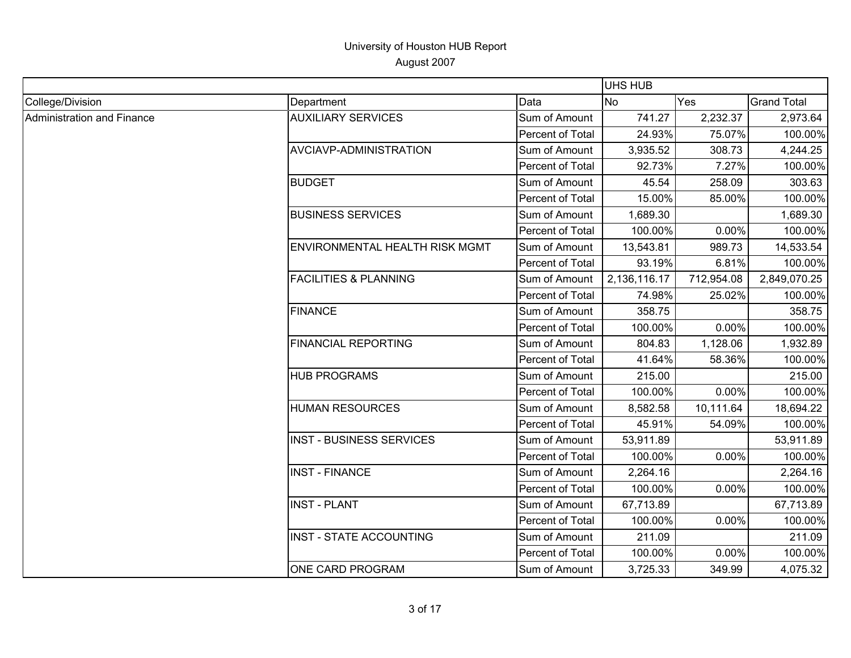|                            |                                  |                  | UHS HUB      |            |                    |
|----------------------------|----------------------------------|------------------|--------------|------------|--------------------|
| College/Division           | Department                       | Data             | No           | Yes        | <b>Grand Total</b> |
| Administration and Finance | <b>AUXILIARY SERVICES</b>        | Sum of Amount    | 741.27       | 2,232.37   | 2,973.64           |
|                            |                                  | Percent of Total | 24.93%       | 75.07%     | 100.00%            |
|                            | AVCIAVP-ADMINISTRATION           | Sum of Amount    | 3,935.52     | 308.73     | 4,244.25           |
|                            |                                  | Percent of Total | 92.73%       | 7.27%      | 100.00%            |
|                            | <b>BUDGET</b>                    | Sum of Amount    | 45.54        | 258.09     | 303.63             |
|                            |                                  | Percent of Total | 15.00%       | 85.00%     | 100.00%            |
|                            | <b>BUSINESS SERVICES</b>         | Sum of Amount    | 1,689.30     |            | 1,689.30           |
|                            |                                  | Percent of Total | 100.00%      | 0.00%      | 100.00%            |
|                            | ENVIRONMENTAL HEALTH RISK MGMT   | Sum of Amount    | 13,543.81    | 989.73     | 14,533.54          |
|                            |                                  | Percent of Total | 93.19%       | 6.81%      | 100.00%            |
|                            | <b>FACILITIES &amp; PLANNING</b> | Sum of Amount    | 2,136,116.17 | 712,954.08 | 2,849,070.25       |
|                            |                                  | Percent of Total | 74.98%       | 25.02%     | 100.00%            |
|                            | <b>FINANCE</b>                   | Sum of Amount    | 358.75       |            | 358.75             |
|                            |                                  | Percent of Total | 100.00%      | 0.00%      | 100.00%            |
|                            | <b>FINANCIAL REPORTING</b>       | Sum of Amount    | 804.83       | 1,128.06   | 1,932.89           |
|                            |                                  | Percent of Total | 41.64%       | 58.36%     | 100.00%            |
|                            | <b>HUB PROGRAMS</b>              | Sum of Amount    | 215.00       |            | 215.00             |
|                            |                                  | Percent of Total | 100.00%      | 0.00%      | 100.00%            |
|                            | <b>HUMAN RESOURCES</b>           | Sum of Amount    | 8,582.58     | 10,111.64  | 18,694.22          |
|                            |                                  | Percent of Total | 45.91%       | 54.09%     | 100.00%            |
|                            | <b>INST - BUSINESS SERVICES</b>  | Sum of Amount    | 53,911.89    |            | 53,911.89          |
|                            |                                  | Percent of Total | 100.00%      | 0.00%      | 100.00%            |
|                            | <b>INST - FINANCE</b>            | Sum of Amount    | 2,264.16     |            | 2,264.16           |
|                            |                                  | Percent of Total | 100.00%      | 0.00%      | 100.00%            |
|                            | <b>INST - PLANT</b>              | Sum of Amount    | 67,713.89    |            | 67,713.89          |
|                            |                                  | Percent of Total | 100.00%      | 0.00%      | 100.00%            |
|                            | <b>INST - STATE ACCOUNTING</b>   | Sum of Amount    | 211.09       |            | 211.09             |
|                            |                                  | Percent of Total | 100.00%      | 0.00%      | 100.00%            |
|                            | ONE CARD PROGRAM                 | Sum of Amount    | 3,725.33     | 349.99     | 4,075.32           |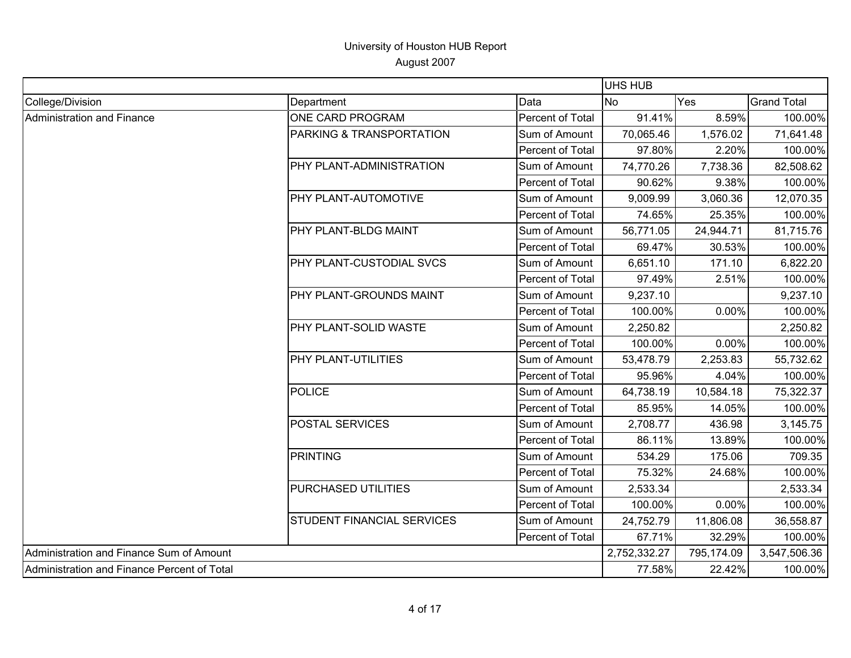|                                             |                                   |                  | UHS HUB      |            |                    |
|---------------------------------------------|-----------------------------------|------------------|--------------|------------|--------------------|
| College/Division                            | Department                        | Data             | <b>No</b>    | Yes        | <b>Grand Total</b> |
| Administration and Finance                  | ONE CARD PROGRAM                  | Percent of Total | 91.41%       | 8.59%      | 100.00%            |
|                                             | PARKING & TRANSPORTATION          | Sum of Amount    | 70,065.46    | 1,576.02   | 71,641.48          |
|                                             |                                   | Percent of Total | 97.80%       | 2.20%      | 100.00%            |
|                                             | PHY PLANT-ADMINISTRATION          | Sum of Amount    | 74,770.26    | 7,738.36   | 82,508.62          |
|                                             |                                   | Percent of Total | 90.62%       | 9.38%      | 100.00%            |
|                                             | PHY PLANT-AUTOMOTIVE              | Sum of Amount    | 9,009.99     | 3,060.36   | 12,070.35          |
|                                             |                                   | Percent of Total | 74.65%       | 25.35%     | 100.00%            |
|                                             | PHY PLANT-BLDG MAINT              | Sum of Amount    | 56,771.05    | 24,944.71  | 81,715.76          |
|                                             |                                   | Percent of Total | 69.47%       | 30.53%     | 100.00%            |
|                                             | PHY PLANT-CUSTODIAL SVCS          | Sum of Amount    | 6,651.10     | 171.10     | 6,822.20           |
|                                             |                                   | Percent of Total | 97.49%       | 2.51%      | 100.00%            |
|                                             | <b>PHY PLANT-GROUNDS MAINT</b>    | Sum of Amount    | 9,237.10     |            | 9,237.10           |
|                                             |                                   | Percent of Total | 100.00%      | 0.00%      | 100.00%            |
|                                             | PHY PLANT-SOLID WASTE             | Sum of Amount    | 2,250.82     |            | 2,250.82           |
|                                             |                                   | Percent of Total | 100.00%      | 0.00%      | 100.00%            |
|                                             | PHY PLANT-UTILITIES               | Sum of Amount    | 53,478.79    | 2,253.83   | 55,732.62          |
|                                             |                                   | Percent of Total | 95.96%       | 4.04%      | 100.00%            |
|                                             | POLICE                            | Sum of Amount    | 64,738.19    | 10,584.18  | 75,322.37          |
|                                             |                                   | Percent of Total | 85.95%       | 14.05%     | 100.00%            |
|                                             | <b>POSTAL SERVICES</b>            | Sum of Amount    | 2,708.77     | 436.98     | 3,145.75           |
|                                             |                                   | Percent of Total | 86.11%       | 13.89%     | 100.00%            |
|                                             | PRINTING                          | Sum of Amount    | 534.29       | 175.06     | 709.35             |
|                                             |                                   | Percent of Total | 75.32%       | 24.68%     | 100.00%            |
|                                             | PURCHASED UTILITIES               | Sum of Amount    | 2,533.34     |            | 2,533.34           |
|                                             |                                   | Percent of Total | 100.00%      | 0.00%      | 100.00%            |
|                                             | <b>STUDENT FINANCIAL SERVICES</b> | Sum of Amount    | 24,752.79    | 11,806.08  | 36,558.87          |
|                                             |                                   | Percent of Total | 67.71%       | 32.29%     | 100.00%            |
| Administration and Finance Sum of Amount    |                                   |                  | 2,752,332.27 | 795,174.09 | 3,547,506.36       |
| Administration and Finance Percent of Total |                                   |                  | 77.58%       | 22.42%     | 100.00%            |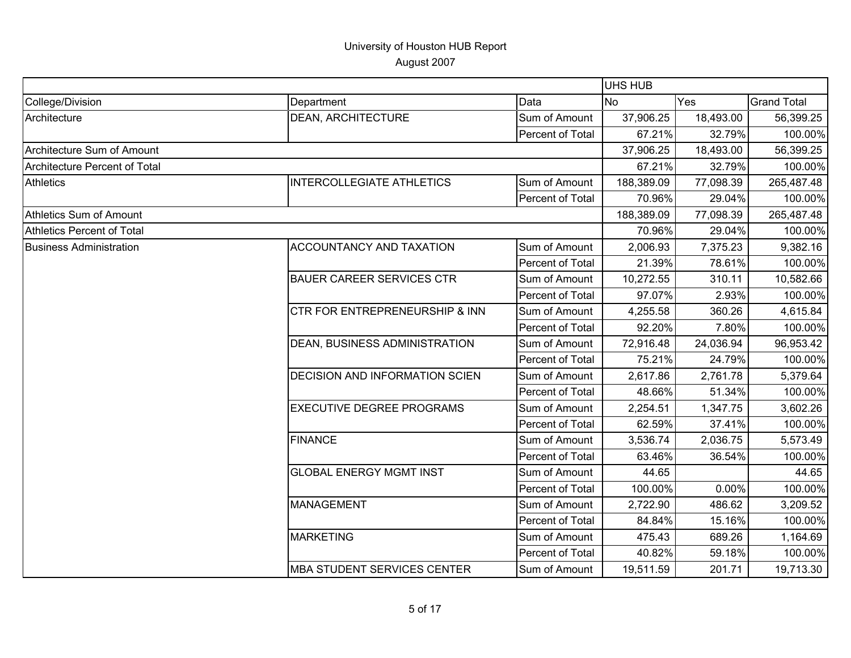|                                      |                                           |                  | <b>UHS HUB</b> |           |                    |
|--------------------------------------|-------------------------------------------|------------------|----------------|-----------|--------------------|
| College/Division                     | Department                                | Data             | <b>No</b>      | Yes       | <b>Grand Total</b> |
| Architecture                         | <b>DEAN, ARCHITECTURE</b>                 | Sum of Amount    | 37,906.25      | 18,493.00 | 56,399.25          |
|                                      |                                           | Percent of Total | 67.21%         | 32.79%    | 100.00%            |
| Architecture Sum of Amount           |                                           |                  | 37,906.25      | 18,493.00 | 56,399.25          |
| <b>Architecture Percent of Total</b> |                                           |                  | 67.21%         | 32.79%    | 100.00%            |
| <b>Athletics</b>                     | <b>INTERCOLLEGIATE ATHLETICS</b>          | Sum of Amount    | 188,389.09     | 77,098.39 | 265,487.48         |
|                                      |                                           | Percent of Total | 70.96%         | 29.04%    | 100.00%            |
| Athletics Sum of Amount              |                                           |                  | 188,389.09     | 77,098.39 | 265,487.48         |
| Athletics Percent of Total           |                                           |                  | 70.96%         | 29.04%    | 100.00%            |
| <b>Business Administration</b>       | <b>ACCOUNTANCY AND TAXATION</b>           | Sum of Amount    | 2,006.93       | 7,375.23  | 9,382.16           |
|                                      |                                           | Percent of Total | 21.39%         | 78.61%    | 100.00%            |
|                                      | <b>BAUER CAREER SERVICES CTR</b>          | Sum of Amount    | 10,272.55      | 310.11    | 10,582.66          |
|                                      |                                           | Percent of Total | 97.07%         | 2.93%     | 100.00%            |
|                                      | <b>CTR FOR ENTREPRENEURSHIP &amp; INN</b> | Sum of Amount    | 4,255.58       | 360.26    | 4,615.84           |
|                                      |                                           | Percent of Total | 92.20%         | 7.80%     | 100.00%            |
|                                      | DEAN, BUSINESS ADMINISTRATION             | Sum of Amount    | 72,916.48      | 24,036.94 | 96,953.42          |
|                                      |                                           | Percent of Total | 75.21%         | 24.79%    | 100.00%            |
|                                      | <b>DECISION AND INFORMATION SCIEN</b>     | Sum of Amount    | 2,617.86       | 2,761.78  | 5,379.64           |
|                                      |                                           | Percent of Total | 48.66%         | 51.34%    | 100.00%            |
|                                      | <b>EXECUTIVE DEGREE PROGRAMS</b>          | Sum of Amount    | 2,254.51       | 1,347.75  | 3,602.26           |
|                                      |                                           | Percent of Total | 62.59%         | 37.41%    | 100.00%            |
|                                      | <b>FINANCE</b>                            | Sum of Amount    | 3,536.74       | 2,036.75  | 5,573.49           |
|                                      |                                           | Percent of Total | 63.46%         | 36.54%    | 100.00%            |
|                                      | <b>GLOBAL ENERGY MGMT INST</b>            | Sum of Amount    | 44.65          |           | 44.65              |
|                                      |                                           | Percent of Total | 100.00%        | 0.00%     | 100.00%            |
|                                      | <b>MANAGEMENT</b>                         | Sum of Amount    | 2,722.90       | 486.62    | 3,209.52           |
|                                      |                                           | Percent of Total | 84.84%         | 15.16%    | 100.00%            |
|                                      | <b>MARKETING</b>                          | Sum of Amount    | 475.43         | 689.26    | 1,164.69           |
|                                      |                                           | Percent of Total | 40.82%         | 59.18%    | 100.00%            |
|                                      | <b>MBA STUDENT SERVICES CENTER</b>        | Sum of Amount    | 19,511.59      | 201.71    | 19,713.30          |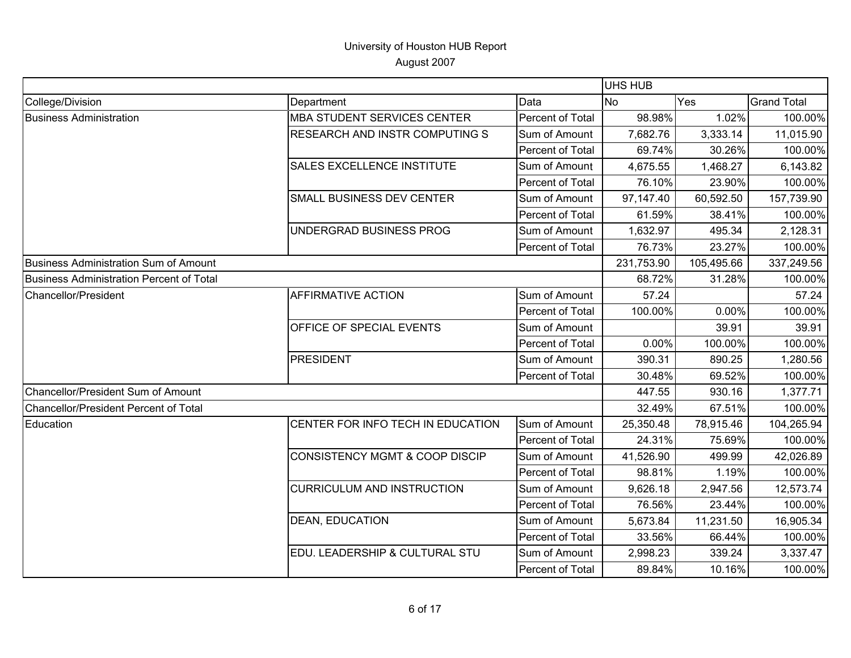|                                          |                                       |                  | <b>UHS HUB</b> |            |                    |
|------------------------------------------|---------------------------------------|------------------|----------------|------------|--------------------|
| College/Division                         | Department                            | Data             | <b>No</b>      | Yes        | <b>Grand Total</b> |
| <b>Business Administration</b>           | <b>MBA STUDENT SERVICES CENTER</b>    | Percent of Total | 98.98%         | 1.02%      | 100.00%            |
|                                          | <b>RESEARCH AND INSTR COMPUTING S</b> | Sum of Amount    | 7,682.76       | 3,333.14   | 11,015.90          |
|                                          |                                       | Percent of Total | 69.74%         | 30.26%     | 100.00%            |
|                                          | SALES EXCELLENCE INSTITUTE            | Sum of Amount    | 4,675.55       | 1,468.27   | 6,143.82           |
|                                          |                                       | Percent of Total | 76.10%         | 23.90%     | 100.00%            |
|                                          | SMALL BUSINESS DEV CENTER             | Sum of Amount    | 97,147.40      | 60,592.50  | 157,739.90         |
|                                          |                                       | Percent of Total | 61.59%         | 38.41%     | 100.00%            |
|                                          | UNDERGRAD BUSINESS PROG               | Sum of Amount    | 1,632.97       | 495.34     | 2,128.31           |
|                                          |                                       | Percent of Total | 76.73%         | 23.27%     | 100.00%            |
| Business Administration Sum of Amount    |                                       |                  | 231,753.90     | 105,495.66 | 337,249.56         |
| Business Administration Percent of Total |                                       |                  | 68.72%         | 31.28%     | 100.00%            |
| Chancellor/President                     | <b>AFFIRMATIVE ACTION</b>             | Sum of Amount    | 57.24          |            | 57.24              |
|                                          |                                       | Percent of Total | 100.00%        | 0.00%      | 100.00%            |
|                                          | OFFICE OF SPECIAL EVENTS              | Sum of Amount    |                | 39.91      | 39.91              |
|                                          |                                       | Percent of Total | 0.00%          | 100.00%    | 100.00%            |
|                                          | PRESIDENT                             | Sum of Amount    | 390.31         | 890.25     | 1,280.56           |
|                                          |                                       | Percent of Total | 30.48%         | 69.52%     | 100.00%            |
| Chancellor/President Sum of Amount       |                                       |                  | 447.55         | 930.16     | 1,377.71           |
| Chancellor/President Percent of Total    |                                       |                  | 32.49%         | 67.51%     | 100.00%            |
| Education                                | CENTER FOR INFO TECH IN EDUCATION     | Sum of Amount    | 25,350.48      | 78,915.46  | 104,265.94         |
|                                          |                                       | Percent of Total | 24.31%         | 75.69%     | 100.00%            |
|                                          | CONSISTENCY MGMT & COOP DISCIP        | Sum of Amount    | 41,526.90      | 499.99     | 42,026.89          |
|                                          |                                       | Percent of Total | 98.81%         | 1.19%      | 100.00%            |
|                                          | <b>CURRICULUM AND INSTRUCTION</b>     | Sum of Amount    | 9,626.18       | 2,947.56   | 12,573.74          |
|                                          |                                       | Percent of Total | 76.56%         | 23.44%     | 100.00%            |
|                                          | <b>DEAN, EDUCATION</b>                | Sum of Amount    | 5,673.84       | 11,231.50  | 16,905.34          |
|                                          |                                       | Percent of Total | 33.56%         | 66.44%     | 100.00%            |
|                                          | EDU. LEADERSHIP & CULTURAL STU        | Sum of Amount    | 2,998.23       | 339.24     | 3,337.47           |
|                                          |                                       | Percent of Total | 89.84%         | 10.16%     | 100.00%            |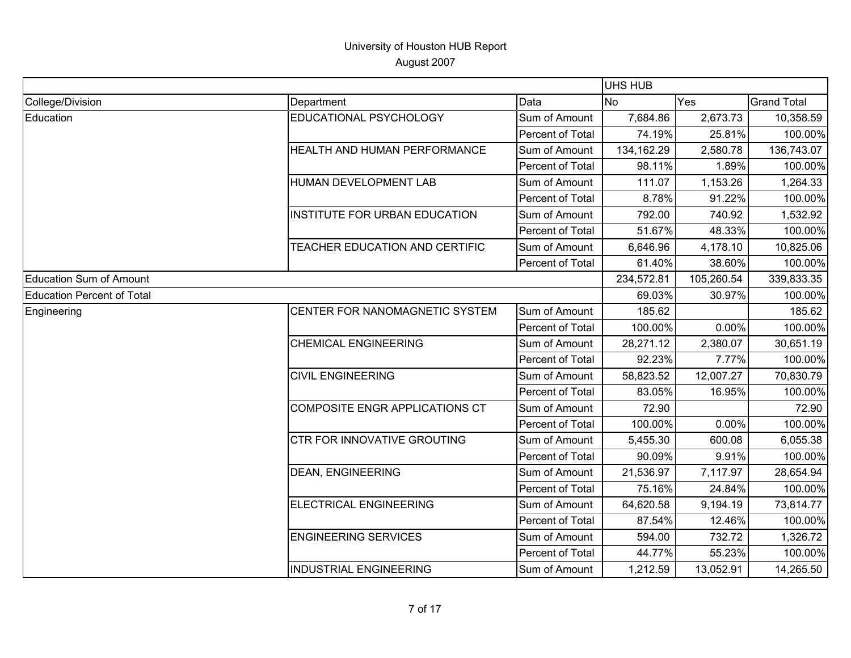|                                   |                                       |                         | UHS HUB    |            |                    |
|-----------------------------------|---------------------------------------|-------------------------|------------|------------|--------------------|
| College/Division                  | Department                            | Data                    | No         | Yes        | <b>Grand Total</b> |
| Education                         | EDUCATIONAL PSYCHOLOGY                | Sum of Amount           | 7,684.86   | 2,673.73   | 10,358.59          |
|                                   |                                       | Percent of Total        | 74.19%     | 25.81%     | 100.00%            |
|                                   | HEALTH AND HUMAN PERFORMANCE          | Sum of Amount           | 134,162.29 | 2,580.78   | 136,743.07         |
|                                   |                                       | Percent of Total        | 98.11%     | 1.89%      | 100.00%            |
|                                   | HUMAN DEVELOPMENT LAB                 | Sum of Amount           | 111.07     | 1,153.26   | 1,264.33           |
|                                   |                                       | Percent of Total        | 8.78%      | 91.22%     | 100.00%            |
|                                   | INSTITUTE FOR URBAN EDUCATION         | Sum of Amount           | 792.00     | 740.92     | 1,532.92           |
|                                   |                                       | Percent of Total        | 51.67%     | 48.33%     | 100.00%            |
|                                   | TEACHER EDUCATION AND CERTIFIC        | Sum of Amount           | 6,646.96   | 4,178.10   | 10,825.06          |
|                                   |                                       | Percent of Total        | 61.40%     | 38.60%     | 100.00%            |
| <b>Education Sum of Amount</b>    |                                       |                         | 234,572.81 | 105,260.54 | 339,833.35         |
| <b>Education Percent of Total</b> |                                       |                         | 69.03%     | 30.97%     | 100.00%            |
| Engineering                       | CENTER FOR NANOMAGNETIC SYSTEM        | Sum of Amount           | 185.62     |            | 185.62             |
|                                   |                                       | Percent of Total        | 100.00%    | 0.00%      | 100.00%            |
|                                   | <b>CHEMICAL ENGINEERING</b>           | Sum of Amount           | 28,271.12  | 2,380.07   | 30,651.19          |
|                                   |                                       | <b>Percent of Total</b> | 92.23%     | 7.77%      | 100.00%            |
|                                   | <b>CIVIL ENGINEERING</b>              | Sum of Amount           | 58,823.52  | 12,007.27  | 70,830.79          |
|                                   |                                       | Percent of Total        | 83.05%     | 16.95%     | 100.00%            |
|                                   | <b>COMPOSITE ENGR APPLICATIONS CT</b> | Sum of Amount           | 72.90      |            | 72.90              |
|                                   |                                       | Percent of Total        | 100.00%    | 0.00%      | 100.00%            |
|                                   | CTR FOR INNOVATIVE GROUTING           | Sum of Amount           | 5,455.30   | 600.08     | 6,055.38           |
|                                   |                                       | Percent of Total        | 90.09%     | 9.91%      | 100.00%            |
|                                   | <b>DEAN, ENGINEERING</b>              | Sum of Amount           | 21,536.97  | 7,117.97   | 28,654.94          |
|                                   |                                       | Percent of Total        | 75.16%     | 24.84%     | 100.00%            |
|                                   | <b>ELECTRICAL ENGINEERING</b>         | Sum of Amount           | 64,620.58  | 9,194.19   | 73,814.77          |
|                                   |                                       | Percent of Total        | 87.54%     | 12.46%     | 100.00%            |
|                                   | <b>ENGINEERING SERVICES</b>           | Sum of Amount           | 594.00     | 732.72     | 1,326.72           |
|                                   |                                       | Percent of Total        | 44.77%     | 55.23%     | 100.00%            |
|                                   | <b>INDUSTRIAL ENGINEERING</b>         | Sum of Amount           | 1,212.59   | 13,052.91  | 14,265.50          |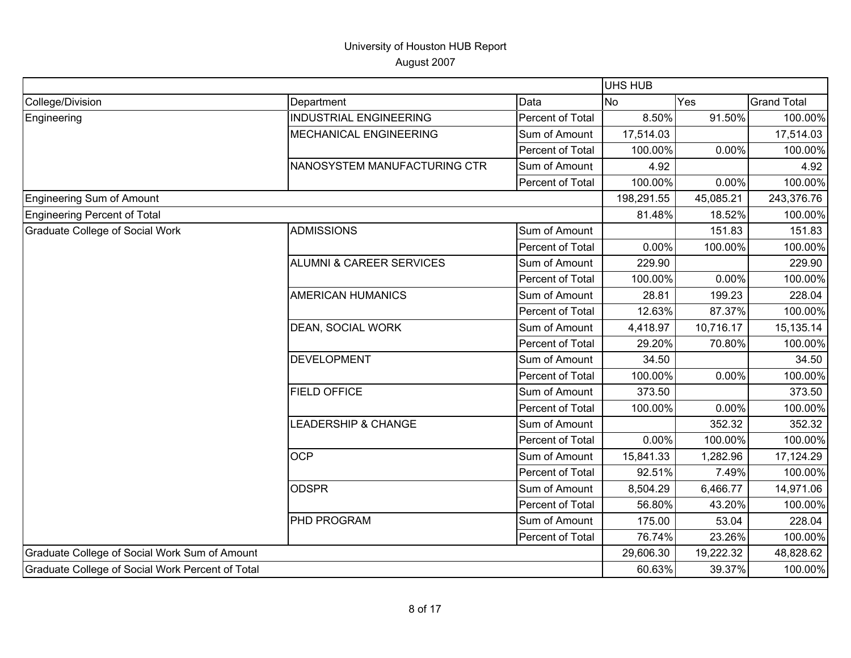|                                                  |                                     |                  | UHS HUB    |           |                    |
|--------------------------------------------------|-------------------------------------|------------------|------------|-----------|--------------------|
| College/Division                                 | Department                          | Data             | <b>No</b>  | Yes       | <b>Grand Total</b> |
| Engineering                                      | <b>INDUSTRIAL ENGINEERING</b>       | Percent of Total | 8.50%      | 91.50%    | 100.00%            |
|                                                  | <b>MECHANICAL ENGINEERING</b>       | Sum of Amount    | 17,514.03  |           | 17,514.03          |
|                                                  |                                     | Percent of Total | 100.00%    | 0.00%     | 100.00%            |
|                                                  | NANOSYSTEM MANUFACTURING CTR        | Sum of Amount    | 4.92       |           | 4.92               |
|                                                  |                                     | Percent of Total | 100.00%    | 0.00%     | 100.00%            |
| Engineering Sum of Amount                        |                                     |                  | 198,291.55 | 45,085.21 | 243,376.76         |
| Engineering Percent of Total                     |                                     |                  | 81.48%     | 18.52%    | 100.00%            |
| <b>Graduate College of Social Work</b>           | <b>ADMISSIONS</b>                   | Sum of Amount    |            | 151.83    | 151.83             |
|                                                  |                                     | Percent of Total | 0.00%      | 100.00%   | 100.00%            |
|                                                  | <b>ALUMNI &amp; CAREER SERVICES</b> | Sum of Amount    | 229.90     |           | 229.90             |
|                                                  |                                     | Percent of Total | 100.00%    | 0.00%     | 100.00%            |
|                                                  | <b>AMERICAN HUMANICS</b>            | Sum of Amount    | 28.81      | 199.23    | 228.04             |
|                                                  |                                     | Percent of Total | 12.63%     | 87.37%    | 100.00%            |
|                                                  | DEAN, SOCIAL WORK                   | Sum of Amount    | 4,418.97   | 10,716.17 | 15,135.14          |
|                                                  |                                     | Percent of Total | 29.20%     | 70.80%    | 100.00%            |
|                                                  | <b>DEVELOPMENT</b>                  | Sum of Amount    | 34.50      |           | 34.50              |
|                                                  |                                     | Percent of Total | 100.00%    | 0.00%     | 100.00%            |
|                                                  | <b>FIELD OFFICE</b>                 | Sum of Amount    | 373.50     |           | 373.50             |
|                                                  |                                     | Percent of Total | 100.00%    | 0.00%     | 100.00%            |
|                                                  | LEADERSHIP & CHANGE                 | Sum of Amount    |            | 352.32    | 352.32             |
|                                                  |                                     | Percent of Total | 0.00%      | 100.00%   | 100.00%            |
|                                                  | <b>OCP</b>                          | Sum of Amount    | 15,841.33  | 1,282.96  | 17,124.29          |
|                                                  |                                     | Percent of Total | 92.51%     | 7.49%     | 100.00%            |
|                                                  | <b>ODSPR</b>                        | Sum of Amount    | 8,504.29   | 6,466.77  | 14,971.06          |
|                                                  |                                     | Percent of Total | 56.80%     | 43.20%    | 100.00%            |
|                                                  | PHD PROGRAM                         | Sum of Amount    | 175.00     | 53.04     | 228.04             |
|                                                  |                                     | Percent of Total | 76.74%     | 23.26%    | 100.00%            |
| Graduate College of Social Work Sum of Amount    |                                     |                  | 29,606.30  | 19,222.32 | 48,828.62          |
| Graduate College of Social Work Percent of Total |                                     |                  | 60.63%     | 39.37%    | 100.00%            |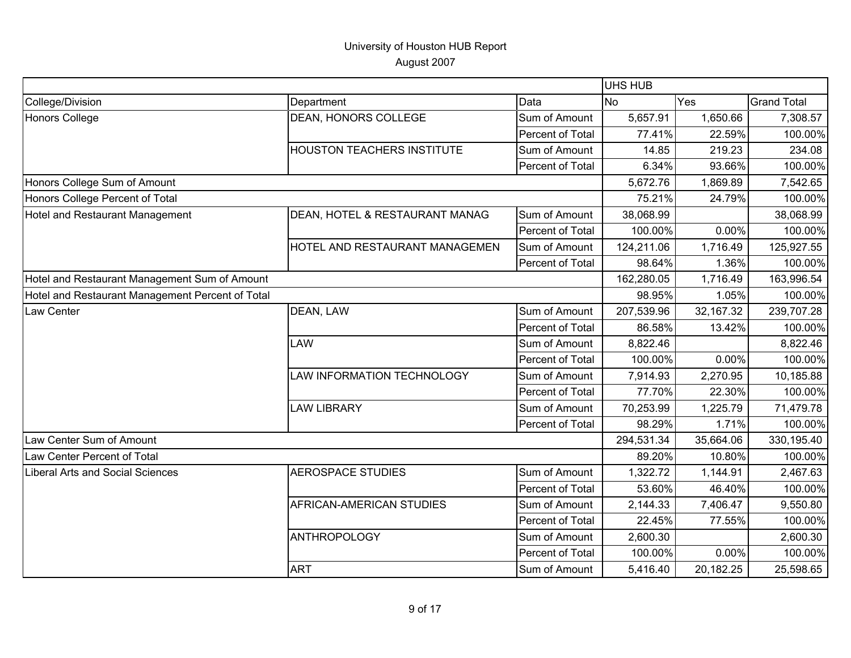|                                                  |                                   |                  | <b>UHS HUB</b> |           |                    |
|--------------------------------------------------|-----------------------------------|------------------|----------------|-----------|--------------------|
| College/Division                                 | Department                        | Data             | <b>No</b>      | Yes       | <b>Grand Total</b> |
| <b>Honors College</b>                            | <b>DEAN, HONORS COLLEGE</b>       | Sum of Amount    | 5,657.91       | 1,650.66  | 7,308.57           |
|                                                  |                                   | Percent of Total | 77.41%         | 22.59%    | 100.00%            |
|                                                  | <b>HOUSTON TEACHERS INSTITUTE</b> | Sum of Amount    | 14.85          | 219.23    | 234.08             |
|                                                  |                                   | Percent of Total | 6.34%          | 93.66%    | 100.00%            |
| Honors College Sum of Amount                     |                                   |                  | 5,672.76       | 1,869.89  | 7,542.65           |
| Honors College Percent of Total                  |                                   |                  | 75.21%         | 24.79%    | 100.00%            |
| Hotel and Restaurant Management                  | DEAN, HOTEL & RESTAURANT MANAG    | Sum of Amount    | 38,068.99      |           | 38,068.99          |
|                                                  |                                   | Percent of Total | 100.00%        | 0.00%     | 100.00%            |
|                                                  | HOTEL AND RESTAURANT MANAGEMEN    | Sum of Amount    | 124,211.06     | 1,716.49  | 125,927.55         |
|                                                  |                                   | Percent of Total | 98.64%         | 1.36%     | 100.00%            |
| Hotel and Restaurant Management Sum of Amount    |                                   |                  | 162,280.05     | 1,716.49  | 163,996.54         |
| Hotel and Restaurant Management Percent of Total |                                   |                  | 98.95%         | 1.05%     | 100.00%            |
| Law Center                                       | DEAN, LAW                         | Sum of Amount    | 207,539.96     | 32,167.32 | 239,707.28         |
|                                                  |                                   | Percent of Total | 86.58%         | 13.42%    | 100.00%            |
|                                                  | LAW                               | Sum of Amount    | 8,822.46       |           | 8,822.46           |
| Law Center Sum of Amount                         |                                   | Percent of Total | 100.00%        | 0.00%     | 100.00%            |
|                                                  | LAW INFORMATION TECHNOLOGY        | Sum of Amount    | 7,914.93       | 2,270.95  | 10,185.88          |
|                                                  |                                   | Percent of Total | 77.70%         | 22.30%    | 100.00%            |
|                                                  | <b>LAW LIBRARY</b>                | Sum of Amount    | 70,253.99      | 1,225.79  | 71,479.78          |
|                                                  |                                   | Percent of Total | 98.29%         | 1.71%     | 100.00%            |
|                                                  |                                   |                  | 294,531.34     | 35,664.06 | 330,195.40         |
| Law Center Percent of Total                      |                                   |                  | 89.20%         | 10.80%    | 100.00%            |
| Liberal Arts and Social Sciences                 | <b>AEROSPACE STUDIES</b>          | Sum of Amount    | 1,322.72       | 1,144.91  | 2,467.63           |
|                                                  |                                   | Percent of Total | 53.60%         | 46.40%    | 100.00%            |
|                                                  | AFRICAN-AMERICAN STUDIES          | Sum of Amount    | 2,144.33       | 7,406.47  | 9,550.80           |
|                                                  |                                   | Percent of Total | 22.45%         | 77.55%    | 100.00%            |
|                                                  | <b>ANTHROPOLOGY</b>               | Sum of Amount    | 2,600.30       |           | 2,600.30           |
|                                                  |                                   | Percent of Total | 100.00%        | 0.00%     | 100.00%            |
|                                                  | <b>ART</b>                        | Sum of Amount    | 5,416.40       | 20,182.25 | 25,598.65          |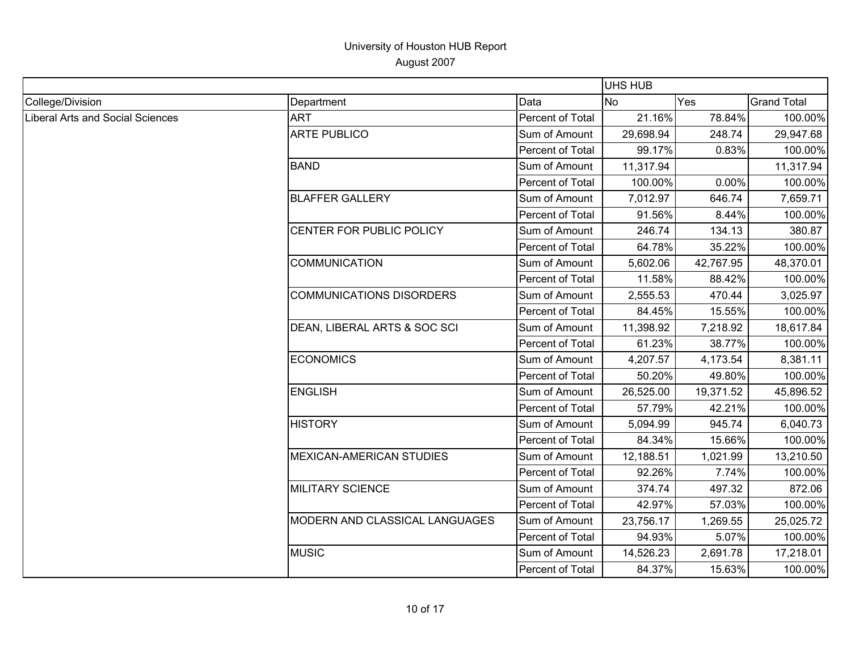|                                  |                                 |                  | UHS HUB   |           |                    |
|----------------------------------|---------------------------------|------------------|-----------|-----------|--------------------|
| College/Division                 | Department                      | Data             | No        | Yes       | <b>Grand Total</b> |
| Liberal Arts and Social Sciences | <b>ART</b>                      | Percent of Total | 21.16%    | 78.84%    | 100.00%            |
|                                  | <b>ARTE PUBLICO</b>             | Sum of Amount    | 29,698.94 | 248.74    | 29,947.68          |
|                                  |                                 | Percent of Total | 99.17%    | 0.83%     | 100.00%            |
|                                  | <b>BAND</b>                     | Sum of Amount    | 11,317.94 |           | 11,317.94          |
|                                  |                                 | Percent of Total | 100.00%   | 0.00%     | 100.00%            |
|                                  | <b>BLAFFER GALLERY</b>          | Sum of Amount    | 7,012.97  | 646.74    | 7,659.71           |
|                                  |                                 | Percent of Total | 91.56%    | 8.44%     | 100.00%            |
|                                  | CENTER FOR PUBLIC POLICY        | Sum of Amount    | 246.74    | 134.13    | 380.87             |
|                                  |                                 | Percent of Total | 64.78%    | 35.22%    | 100.00%            |
|                                  | <b>COMMUNICATION</b>            | Sum of Amount    | 5,602.06  | 42,767.95 | 48,370.01          |
|                                  |                                 | Percent of Total | 11.58%    | 88.42%    | 100.00%            |
|                                  | <b>COMMUNICATIONS DISORDERS</b> | Sum of Amount    | 2,555.53  | 470.44    | 3,025.97           |
|                                  |                                 | Percent of Total | 84.45%    | 15.55%    | 100.00%            |
|                                  | DEAN, LIBERAL ARTS & SOC SCI    | Sum of Amount    | 11,398.92 | 7,218.92  | 18,617.84          |
|                                  |                                 | Percent of Total | 61.23%    | 38.77%    | 100.00%            |
|                                  | <b>ECONOMICS</b>                | Sum of Amount    | 4,207.57  | 4,173.54  | 8,381.11           |
|                                  |                                 | Percent of Total | 50.20%    | 49.80%    | 100.00%            |
|                                  | <b>ENGLISH</b>                  | Sum of Amount    | 26,525.00 | 19,371.52 | 45,896.52          |
|                                  |                                 | Percent of Total | 57.79%    | 42.21%    | 100.00%            |
|                                  | <b>HISTORY</b>                  | Sum of Amount    | 5,094.99  | 945.74    | 6,040.73           |
|                                  |                                 | Percent of Total | 84.34%    | 15.66%    | 100.00%            |
|                                  | <b>MEXICAN-AMERICAN STUDIES</b> | Sum of Amount    | 12,188.51 | 1,021.99  | 13,210.50          |
|                                  |                                 | Percent of Total | 92.26%    | 7.74%     | 100.00%            |
|                                  | <b>MILITARY SCIENCE</b>         | Sum of Amount    | 374.74    | 497.32    | 872.06             |
|                                  |                                 | Percent of Total | 42.97%    | 57.03%    | 100.00%            |
|                                  | MODERN AND CLASSICAL LANGUAGES  | Sum of Amount    | 23,756.17 | 1,269.55  | 25,025.72          |
|                                  |                                 | Percent of Total | 94.93%    | 5.07%     | 100.00%            |
|                                  | <b>MUSIC</b>                    | Sum of Amount    | 14,526.23 | 2,691.78  | 17,218.01          |
|                                  |                                 | Percent of Total | 84.37%    | 15.63%    | 100.00%            |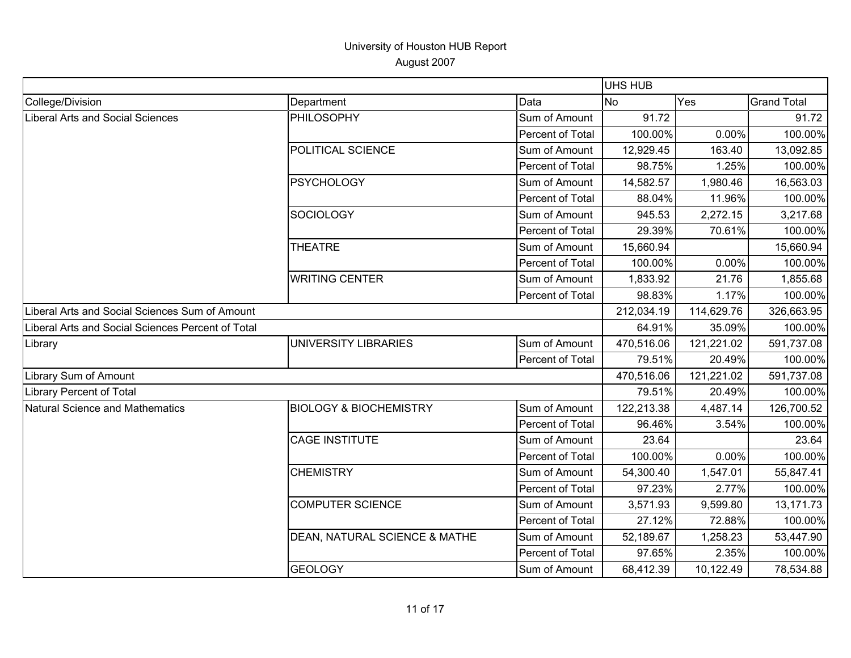|                                                   |                                   |                  | <b>UHS HUB</b> |            |                    |
|---------------------------------------------------|-----------------------------------|------------------|----------------|------------|--------------------|
| College/Division                                  | Department                        | Data             | <b>No</b>      | Yes        | <b>Grand Total</b> |
| <b>Liberal Arts and Social Sciences</b>           | <b>PHILOSOPHY</b>                 | Sum of Amount    | 91.72          |            | 91.72              |
|                                                   |                                   | Percent of Total | 100.00%        | 0.00%      | 100.00%            |
|                                                   | POLITICAL SCIENCE                 | Sum of Amount    | 12,929.45      | 163.40     | 13,092.85          |
|                                                   |                                   | Percent of Total | 98.75%         | 1.25%      | 100.00%            |
|                                                   | <b>PSYCHOLOGY</b>                 | Sum of Amount    | 14,582.57      | 1,980.46   | 16,563.03          |
|                                                   |                                   | Percent of Total | 88.04%         | 11.96%     | 100.00%            |
|                                                   | <b>SOCIOLOGY</b>                  | Sum of Amount    | 945.53         | 2,272.15   | 3,217.68           |
|                                                   |                                   | Percent of Total | 29.39%         | 70.61%     | 100.00%            |
|                                                   | <b>THEATRE</b>                    | Sum of Amount    | 15,660.94      |            | 15,660.94          |
|                                                   |                                   | Percent of Total | 100.00%        | 0.00%      | 100.00%            |
|                                                   | <b>WRITING CENTER</b>             | Sum of Amount    | 1,833.92       | 21.76      | 1,855.68           |
|                                                   |                                   | Percent of Total | 98.83%         | 1.17%      | 100.00%            |
| Liberal Arts and Social Sciences Sum of Amount    |                                   |                  | 212,034.19     | 114,629.76 | 326,663.95         |
| Liberal Arts and Social Sciences Percent of Total |                                   |                  | 64.91%         | 35.09%     | 100.00%            |
| Library                                           | <b>UNIVERSITY LIBRARIES</b>       | Sum of Amount    | 470,516.06     | 121,221.02 | 591,737.08         |
|                                                   |                                   | Percent of Total | 79.51%         | 20.49%     | 100.00%            |
| Library Sum of Amount                             |                                   |                  | 470,516.06     | 121,221.02 | 591,737.08         |
| <b>Library Percent of Total</b>                   |                                   |                  | 79.51%         | 20.49%     | 100.00%            |
| Natural Science and Mathematics                   | <b>BIOLOGY &amp; BIOCHEMISTRY</b> | Sum of Amount    | 122,213.38     | 4,487.14   | 126,700.52         |
|                                                   |                                   | Percent of Total | 96.46%         | 3.54%      | 100.00%            |
|                                                   | <b>CAGE INSTITUTE</b>             | Sum of Amount    | 23.64          |            | 23.64              |
|                                                   |                                   | Percent of Total | 100.00%        | 0.00%      | 100.00%            |
|                                                   | <b>CHEMISTRY</b>                  | Sum of Amount    | 54,300.40      | 1,547.01   | 55,847.41          |
|                                                   |                                   | Percent of Total | 97.23%         | 2.77%      | 100.00%            |
|                                                   | <b>COMPUTER SCIENCE</b>           | Sum of Amount    | 3,571.93       | 9,599.80   | 13,171.73          |
|                                                   |                                   | Percent of Total | 27.12%         | 72.88%     | 100.00%            |
|                                                   | DEAN, NATURAL SCIENCE & MATHE     | Sum of Amount    | 52,189.67      | 1,258.23   | 53,447.90          |
|                                                   |                                   | Percent of Total | 97.65%         | 2.35%      | 100.00%            |
|                                                   | <b>GEOLOGY</b>                    | Sum of Amount    | 68,412.39      | 10,122.49  | 78,534.88          |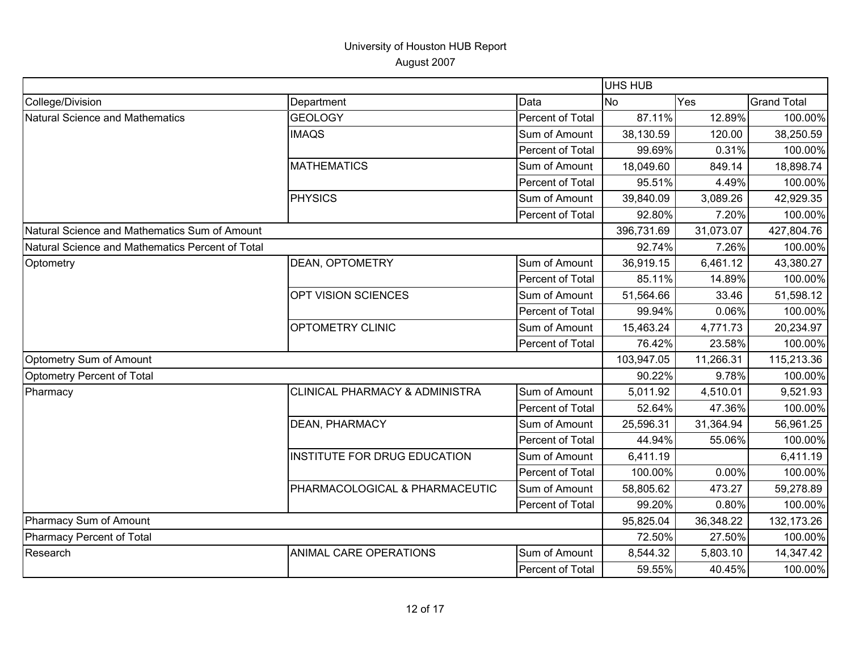|                                                  |                                |                  | <b>UHS HUB</b> |           |                    |
|--------------------------------------------------|--------------------------------|------------------|----------------|-----------|--------------------|
| College/Division                                 | Department                     | Data             | N <sub>o</sub> | Yes       | <b>Grand Total</b> |
| Natural Science and Mathematics                  | <b>GEOLOGY</b>                 | Percent of Total | 87.11%         | 12.89%    | 100.00%            |
|                                                  | <b>IMAQS</b>                   | Sum of Amount    | 38,130.59      | 120.00    | 38,250.59          |
|                                                  |                                | Percent of Total | 99.69%         | 0.31%     | 100.00%            |
|                                                  | <b>MATHEMATICS</b>             | Sum of Amount    | 18,049.60      | 849.14    | 18,898.74          |
|                                                  |                                | Percent of Total | 95.51%         | 4.49%     | 100.00%            |
|                                                  | <b>PHYSICS</b>                 | Sum of Amount    | 39,840.09      | 3,089.26  | 42,929.35          |
|                                                  |                                | Percent of Total | 92.80%         | 7.20%     | 100.00%            |
| Natural Science and Mathematics Sum of Amount    |                                |                  | 396,731.69     | 31,073.07 | 427,804.76         |
| Natural Science and Mathematics Percent of Total |                                |                  | 92.74%         | 7.26%     | 100.00%            |
| Optometry                                        | DEAN, OPTOMETRY                | Sum of Amount    | 36,919.15      | 6,461.12  | 43,380.27          |
|                                                  |                                | Percent of Total | 85.11%         | 14.89%    | 100.00%            |
|                                                  | OPT VISION SCIENCES            | Sum of Amount    | 51,564.66      | 33.46     | 51,598.12          |
|                                                  |                                | Percent of Total | 99.94%         | 0.06%     | 100.00%            |
|                                                  | OPTOMETRY CLINIC               | Sum of Amount    | 15,463.24      | 4,771.73  | 20,234.97          |
|                                                  |                                | Percent of Total | 76.42%         | 23.58%    | 100.00%            |
| Optometry Sum of Amount                          |                                |                  | 103,947.05     | 11,266.31 | 115,213.36         |
| Optometry Percent of Total                       |                                |                  | 90.22%         | 9.78%     | 100.00%            |
| Pharmacy                                         | CLINICAL PHARMACY & ADMINISTRA | Sum of Amount    | 5,011.92       | 4,510.01  | 9,521.93           |
|                                                  |                                | Percent of Total | 52.64%         | 47.36%    | 100.00%            |
|                                                  | DEAN, PHARMACY                 | Sum of Amount    | 25,596.31      | 31,364.94 | 56,961.25          |
|                                                  |                                | Percent of Total | 44.94%         | 55.06%    | 100.00%            |
|                                                  | INSTITUTE FOR DRUG EDUCATION   | Sum of Amount    | 6,411.19       |           | 6,411.19           |
|                                                  |                                | Percent of Total | 100.00%        | 0.00%     | 100.00%            |
|                                                  | PHARMACOLOGICAL & PHARMACEUTIC | Sum of Amount    | 58,805.62      | 473.27    | 59,278.89          |
|                                                  |                                | Percent of Total | 99.20%         | 0.80%     | 100.00%            |
| Pharmacy Sum of Amount                           |                                |                  | 95,825.04      | 36,348.22 | 132,173.26         |
| Pharmacy Percent of Total                        |                                |                  | 72.50%         | 27.50%    | 100.00%            |
| Research                                         | ANIMAL CARE OPERATIONS         | Sum of Amount    | 8,544.32       | 5,803.10  | 14,347.42          |
|                                                  |                                | Percent of Total | 59.55%         | 40.45%    | 100.00%            |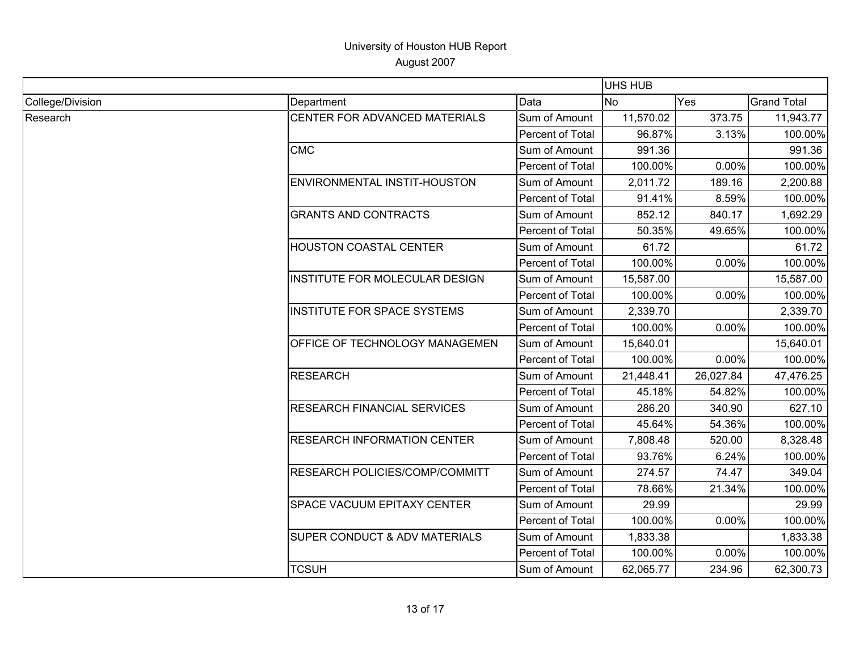|                  |                                    |                  | UHS HUB   |           |                                                                                                                                                                                                                                                                                                                                                                                          |
|------------------|------------------------------------|------------------|-----------|-----------|------------------------------------------------------------------------------------------------------------------------------------------------------------------------------------------------------------------------------------------------------------------------------------------------------------------------------------------------------------------------------------------|
| College/Division | Department                         | Data             | <b>No</b> | Yes       | <b>Grand Total</b>                                                                                                                                                                                                                                                                                                                                                                       |
| Research         | CENTER FOR ADVANCED MATERIALS      | Sum of Amount    | 11,570.02 | 373.75    | 11,943.77                                                                                                                                                                                                                                                                                                                                                                                |
|                  |                                    | Percent of Total | 96.87%    | 3.13%     | 100.00%                                                                                                                                                                                                                                                                                                                                                                                  |
|                  | <b>CMC</b>                         | Sum of Amount    | 991.36    |           | 991.36<br>0.00%<br>100.00%<br>2,200.88<br>8.59%<br>100.00%<br>1,692.29<br>100.00%<br>61.72<br>100.00%<br>0.00%<br>15,587.00<br>100.00%<br>0.00%<br>2,339.70<br>0.00%<br>100.00%<br>15,640.01<br>0.00%<br>100.00%<br>47,476.25<br>100.00%<br>627.10<br>100.00%<br>8,328.48<br>6.24%<br>100.00%<br>74.47<br>349.04<br>100.00%<br>29.99<br>0.00%<br>100.00%<br>1,833.38<br>100.00%<br>0.00% |
|                  |                                    | Percent of Total | 100.00%   |           |                                                                                                                                                                                                                                                                                                                                                                                          |
|                  | ENVIRONMENTAL INSTIT-HOUSTON       | Sum of Amount    | 2,011.72  | 189.16    |                                                                                                                                                                                                                                                                                                                                                                                          |
|                  |                                    | Percent of Total | 91.41%    |           |                                                                                                                                                                                                                                                                                                                                                                                          |
|                  | <b>GRANTS AND CONTRACTS</b>        | Sum of Amount    | 852.12    | 840.17    |                                                                                                                                                                                                                                                                                                                                                                                          |
|                  |                                    | Percent of Total | 50.35%    | 49.65%    |                                                                                                                                                                                                                                                                                                                                                                                          |
|                  | HOUSTON COASTAL CENTER             | Sum of Amount    | 61.72     |           |                                                                                                                                                                                                                                                                                                                                                                                          |
|                  |                                    | Percent of Total | 100.00%   |           |                                                                                                                                                                                                                                                                                                                                                                                          |
|                  | INSTITUTE FOR MOLECULAR DESIGN     | Sum of Amount    | 15,587.00 |           |                                                                                                                                                                                                                                                                                                                                                                                          |
|                  |                                    | Percent of Total | 100.00%   |           |                                                                                                                                                                                                                                                                                                                                                                                          |
|                  | INSTITUTE FOR SPACE SYSTEMS        | Sum of Amount    | 2,339.70  |           |                                                                                                                                                                                                                                                                                                                                                                                          |
|                  |                                    | Percent of Total | 100.00%   |           |                                                                                                                                                                                                                                                                                                                                                                                          |
|                  | OFFICE OF TECHNOLOGY MANAGEMEN     | Sum of Amount    | 15,640.01 |           |                                                                                                                                                                                                                                                                                                                                                                                          |
|                  |                                    | Percent of Total | 100.00%   |           |                                                                                                                                                                                                                                                                                                                                                                                          |
|                  | <b>RESEARCH</b>                    | Sum of Amount    | 21,448.41 | 26,027.84 |                                                                                                                                                                                                                                                                                                                                                                                          |
|                  |                                    | Percent of Total | 45.18%    | 54.82%    |                                                                                                                                                                                                                                                                                                                                                                                          |
|                  | RESEARCH FINANCIAL SERVICES        | Sum of Amount    | 286.20    | 340.90    |                                                                                                                                                                                                                                                                                                                                                                                          |
|                  |                                    | Percent of Total | 45.64%    | 54.36%    |                                                                                                                                                                                                                                                                                                                                                                                          |
|                  | <b>RESEARCH INFORMATION CENTER</b> | Sum of Amount    | 7,808.48  | 520.00    | 62,300.73                                                                                                                                                                                                                                                                                                                                                                                |
|                  |                                    | Percent of Total | 93.76%    |           |                                                                                                                                                                                                                                                                                                                                                                                          |
|                  | RESEARCH POLICIES/COMP/COMMITT     | Sum of Amount    | 274.57    |           |                                                                                                                                                                                                                                                                                                                                                                                          |
|                  |                                    | Percent of Total | 78.66%    | 21.34%    |                                                                                                                                                                                                                                                                                                                                                                                          |
|                  | SPACE VACUUM EPITAXY CENTER        | Sum of Amount    | 29.99     |           |                                                                                                                                                                                                                                                                                                                                                                                          |
|                  |                                    | Percent of Total | 100.00%   |           |                                                                                                                                                                                                                                                                                                                                                                                          |
|                  | SUPER CONDUCT & ADV MATERIALS      | Sum of Amount    | 1,833.38  |           |                                                                                                                                                                                                                                                                                                                                                                                          |
|                  |                                    | Percent of Total | 100.00%   |           |                                                                                                                                                                                                                                                                                                                                                                                          |
|                  | <b>TCSUH</b>                       | Sum of Amount    | 62,065.77 | 234.96    |                                                                                                                                                                                                                                                                                                                                                                                          |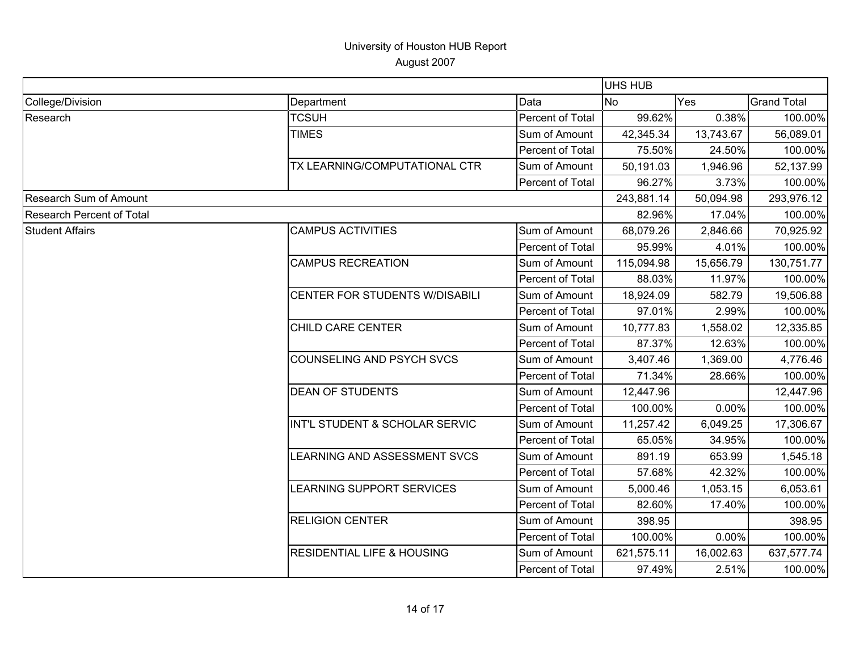|                                  |                                                     |                         | <b>UHS HUB</b> |           |                    |
|----------------------------------|-----------------------------------------------------|-------------------------|----------------|-----------|--------------------|
| College/Division                 | Department                                          | Data                    | <b>No</b>      | Yes       | <b>Grand Total</b> |
| Research                         | <b>TCSUH</b>                                        | Percent of Total        | 99.62%         | 0.38%     | 100.00%            |
|                                  | <b>TIMES</b>                                        | Sum of Amount           | 42,345.34      | 13,743.67 | 56,089.01          |
|                                  |                                                     | Percent of Total        | 75.50%         | 24.50%    | 100.00%            |
|                                  | TX LEARNING/COMPUTATIONAL CTR                       | Sum of Amount           | 50,191.03      | 1,946.96  | 52,137.99          |
|                                  |                                                     | Percent of Total        | 96.27%         | 3.73%     | 100.00%            |
| <b>Research Sum of Amount</b>    |                                                     |                         | 243,881.14     | 50,094.98 | 293,976.12         |
| <b>Research Percent of Total</b> |                                                     |                         | 82.96%         | 17.04%    | 100.00%            |
| <b>Student Affairs</b>           | <b>CAMPUS ACTIVITIES</b>                            | Sum of Amount           | 68,079.26      | 2,846.66  | 70,925.92          |
|                                  |                                                     | Percent of Total        | 95.99%         | 4.01%     | 100.00%            |
|                                  | <b>CAMPUS RECREATION</b>                            | Sum of Amount           | 115,094.98     | 15,656.79 | 130,751.77         |
|                                  |                                                     | Percent of Total        | 88.03%         | 11.97%    | 100.00%            |
|                                  | CENTER FOR STUDENTS W/DISABILI<br>CHILD CARE CENTER | Sum of Amount           | 18,924.09      | 582.79    | 19,506.88          |
|                                  |                                                     | Percent of Total        | 97.01%         | 2.99%     | 100.00%            |
|                                  |                                                     | Sum of Amount           | 10,777.83      | 1,558.02  | 12,335.85          |
|                                  |                                                     | Percent of Total        | 87.37%         | 12.63%    | 100.00%            |
|                                  | <b>COUNSELING AND PSYCH SVCS</b>                    | Sum of Amount           | 3,407.46       | 1,369.00  | 4,776.46           |
|                                  |                                                     | <b>Percent of Total</b> | 71.34%         | 28.66%    | 100.00%            |
|                                  | <b>DEAN OF STUDENTS</b>                             | Sum of Amount           | 12,447.96      |           | 12,447.96          |
|                                  |                                                     | Percent of Total        | 100.00%        | 0.00%     | 100.00%            |
|                                  | INT'L STUDENT & SCHOLAR SERVIC                      | Sum of Amount           | 11,257.42      | 6,049.25  | 17,306.67          |
|                                  |                                                     | Percent of Total        | 65.05%         | 34.95%    | 100.00%            |
|                                  | LEARNING AND ASSESSMENT SVCS                        | Sum of Amount           | 891.19         | 653.99    | 1,545.18           |
|                                  |                                                     | Percent of Total        | 57.68%         | 42.32%    | 100.00%            |
|                                  | LEARNING SUPPORT SERVICES                           | Sum of Amount           | 5,000.46       | 1,053.15  | 6,053.61           |
|                                  |                                                     | Percent of Total        | 82.60%         | 17.40%    | 100.00%            |
|                                  | <b>RELIGION CENTER</b>                              | Sum of Amount           | 398.95         |           | 398.95             |
|                                  |                                                     | Percent of Total        | 100.00%        | 0.00%     | 100.00%            |
|                                  | <b>RESIDENTIAL LIFE &amp; HOUSING</b>               | Sum of Amount           | 621,575.11     | 16,002.63 | 637,577.74         |
|                                  |                                                     | Percent of Total        | 97.49%         | 2.51%     | 100.00%            |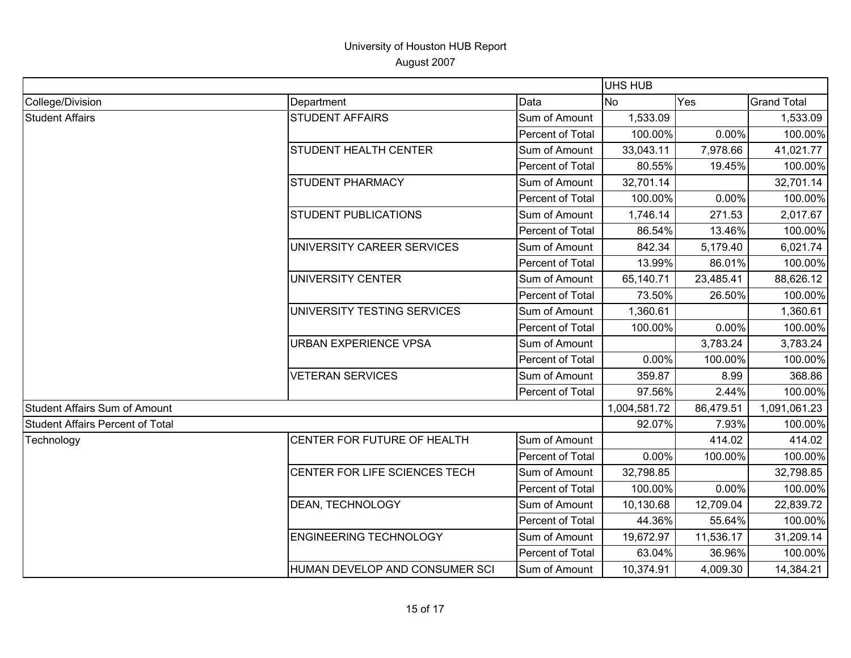|                                         |                                |                  | <b>UHS HUB</b> |           |                    |
|-----------------------------------------|--------------------------------|------------------|----------------|-----------|--------------------|
| College/Division                        | Department                     | Data             | No             | Yes       | <b>Grand Total</b> |
| <b>Student Affairs</b>                  | <b>STUDENT AFFAIRS</b>         | Sum of Amount    | 1,533.09       |           | 1,533.09           |
|                                         |                                | Percent of Total | 100.00%        | 0.00%     | 100.00%            |
|                                         | <b>STUDENT HEALTH CENTER</b>   | Sum of Amount    | 33,043.11      | 7,978.66  | 41,021.77          |
|                                         |                                | Percent of Total | 80.55%         | 19.45%    | 100.00%            |
|                                         | <b>STUDENT PHARMACY</b>        | Sum of Amount    | 32,701.14      |           | 32,701.14          |
|                                         |                                | Percent of Total | 100.00%        | 0.00%     | 100.00%            |
|                                         | <b>STUDENT PUBLICATIONS</b>    | Sum of Amount    | 1,746.14       | 271.53    | 2,017.67           |
|                                         |                                | Percent of Total | 86.54%         | 13.46%    | 100.00%            |
|                                         | UNIVERSITY CAREER SERVICES     | Sum of Amount    | 842.34         | 5,179.40  | 6,021.74           |
|                                         |                                | Percent of Total | 13.99%         | 86.01%    | 100.00%            |
|                                         | UNIVERSITY CENTER              | Sum of Amount    | 65,140.71      | 23,485.41 | 88,626.12          |
|                                         |                                | Percent of Total | 73.50%         | 26.50%    | 100.00%            |
|                                         | UNIVERSITY TESTING SERVICES    | Sum of Amount    | 1,360.61       |           | 1,360.61           |
|                                         |                                | Percent of Total | 100.00%        | 0.00%     | 100.00%            |
|                                         | <b>URBAN EXPERIENCE VPSA</b>   | Sum of Amount    |                | 3,783.24  | 3,783.24           |
|                                         |                                | Percent of Total | 0.00%          | 100.00%   | 100.00%            |
|                                         | <b>VETERAN SERVICES</b>        | Sum of Amount    | 359.87         | 8.99      | 368.86             |
|                                         |                                | Percent of Total | 97.56%         | 2.44%     | 100.00%            |
| <b>Student Affairs Sum of Amount</b>    |                                |                  | 1,004,581.72   | 86,479.51 | 1,091,061.23       |
| <b>Student Affairs Percent of Total</b> |                                |                  | 92.07%         | 7.93%     | 100.00%            |
| Technology                              | CENTER FOR FUTURE OF HEALTH    | Sum of Amount    |                | 414.02    | 414.02             |
|                                         |                                | Percent of Total | 0.00%          | 100.00%   | 100.00%            |
|                                         | CENTER FOR LIFE SCIENCES TECH  | Sum of Amount    | 32,798.85      |           | 32,798.85          |
|                                         |                                | Percent of Total | 100.00%        | 0.00%     | 100.00%            |
|                                         | DEAN, TECHNOLOGY               | Sum of Amount    | 10,130.68      | 12,709.04 | 22,839.72          |
|                                         |                                | Percent of Total | 44.36%         | 55.64%    | 100.00%            |
|                                         | <b>ENGINEERING TECHNOLOGY</b>  | Sum of Amount    | 19,672.97      | 11,536.17 | 31,209.14          |
|                                         |                                | Percent of Total | 63.04%         | 36.96%    | 100.00%            |
|                                         | HUMAN DEVELOP AND CONSUMER SCI | Sum of Amount    | 10,374.91      | 4,009.30  | 14,384.21          |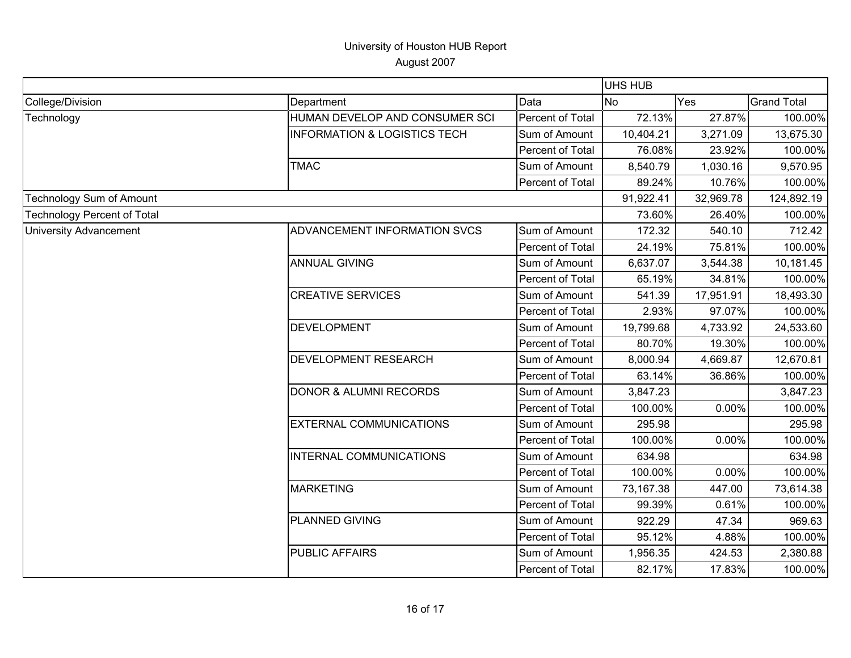|                                    |                                         |                  | <b>UHS HUB</b> |                                                                                                  |                                                                                                                                                                                                      |
|------------------------------------|-----------------------------------------|------------------|----------------|--------------------------------------------------------------------------------------------------|------------------------------------------------------------------------------------------------------------------------------------------------------------------------------------------------------|
| College/Division                   | Department                              | Data             | Yes<br>No      |                                                                                                  | <b>Grand Total</b>                                                                                                                                                                                   |
| Technology                         | HUMAN DEVELOP AND CONSUMER SCI          | Percent of Total | 72.13%         | 27.87%                                                                                           |                                                                                                                                                                                                      |
|                                    | <b>INFORMATION &amp; LOGISTICS TECH</b> | Sum of Amount    | 10,404.21      | 3,271.09                                                                                         | 13,675.30                                                                                                                                                                                            |
|                                    |                                         | Percent of Total | 76.08%         | 23.92%                                                                                           |                                                                                                                                                                                                      |
|                                    | <b>TMAC</b>                             | Sum of Amount    | 8,540.79       | 1,030.16                                                                                         | 9,570.95                                                                                                                                                                                             |
|                                    |                                         | Percent of Total | 89.24%         | 10.76%                                                                                           |                                                                                                                                                                                                      |
| <b>Technology Sum of Amount</b>    |                                         |                  | 91,922.41      | 32,969.78                                                                                        | 124,892.19                                                                                                                                                                                           |
| <b>Technology Percent of Total</b> |                                         | 73.60%           | 26.40%         |                                                                                                  |                                                                                                                                                                                                      |
| <b>University Advancement</b>      | ADVANCEMENT INFORMATION SVCS            | Sum of Amount    | 172.32         | 540.10                                                                                           |                                                                                                                                                                                                      |
|                                    |                                         | Percent of Total | 24.19%         | 75.81%                                                                                           |                                                                                                                                                                                                      |
|                                    | <b>ANNUAL GIVING</b>                    | Sum of Amount    | 6,637.07       | 3,544.38                                                                                         |                                                                                                                                                                                                      |
|                                    |                                         | Percent of Total | 65.19%         | 34.81%                                                                                           |                                                                                                                                                                                                      |
|                                    | <b>CREATIVE SERVICES</b>                | Sum of Amount    | 541.39         | 17,951.91                                                                                        | 18,493.30                                                                                                                                                                                            |
|                                    |                                         | Percent of Total | 2.93%          |                                                                                                  |                                                                                                                                                                                                      |
|                                    | <b>DEVELOPMENT</b>                      | Sum of Amount    | 19,799.68      | 4,733.92                                                                                         | 24,533.60                                                                                                                                                                                            |
|                                    |                                         | Percent of Total | 80.70%         |                                                                                                  |                                                                                                                                                                                                      |
|                                    | DEVELOPMENT RESEARCH                    | Sum of Amount    | 8,000.94       | 97.07%<br>100.00%<br>100.00%<br>19.30%<br>12,670.81<br>4,669.87<br>36.86%<br>100.00%<br>3,847.23 |                                                                                                                                                                                                      |
|                                    |                                         | Percent of Total | 63.14%         |                                                                                                  |                                                                                                                                                                                                      |
|                                    | <b>DONOR &amp; ALUMNI RECORDS</b>       | Sum of Amount    | 3,847.23       |                                                                                                  |                                                                                                                                                                                                      |
|                                    |                                         | Percent of Total | 100.00%        | 0.00%                                                                                            |                                                                                                                                                                                                      |
|                                    | <b>EXTERNAL COMMUNICATIONS</b>          | Sum of Amount    | 295.98         |                                                                                                  | 295.98                                                                                                                                                                                               |
|                                    |                                         | Percent of Total | 100.00%        | 0.00%                                                                                            |                                                                                                                                                                                                      |
|                                    | INTERNAL COMMUNICATIONS                 | Sum of Amount    | 634.98         |                                                                                                  |                                                                                                                                                                                                      |
|                                    |                                         | Percent of Total | 100.00%        | 0.00%                                                                                            |                                                                                                                                                                                                      |
|                                    | <b>MARKETING</b>                        | Sum of Amount    | 73,167.38      | 447.00                                                                                           | 100.00%<br>100.00%<br>100.00%<br>100.00%<br>712.42<br>100.00%<br>10,181.45<br>100.00%<br>100.00%<br>100.00%<br>634.98<br>100.00%<br>73,614.38<br>100.00%<br>969.63<br>100.00%<br>2,380.88<br>100.00% |
|                                    |                                         | Percent of Total | 99.39%         | 0.61%                                                                                            |                                                                                                                                                                                                      |
|                                    | <b>PLANNED GIVING</b>                   | Sum of Amount    | 922.29         | 47.34                                                                                            |                                                                                                                                                                                                      |
|                                    |                                         | Percent of Total | 95.12%         | 4.88%                                                                                            |                                                                                                                                                                                                      |
|                                    | <b>PUBLIC AFFAIRS</b>                   | Sum of Amount    | 1,956.35       | 424.53                                                                                           |                                                                                                                                                                                                      |
|                                    |                                         | Percent of Total | 82.17%         | 17.83%                                                                                           |                                                                                                                                                                                                      |